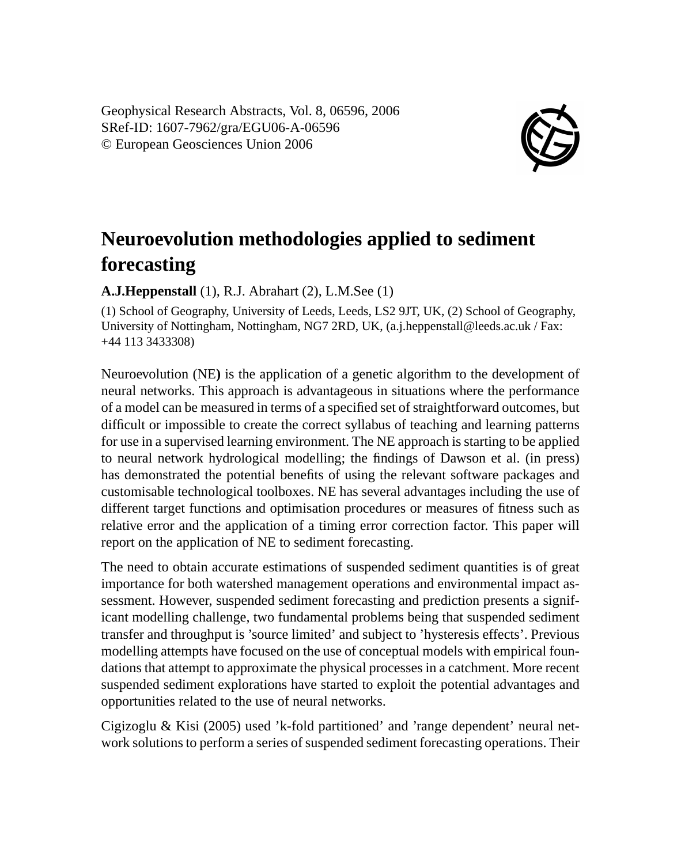Geophysical Research Abstracts, Vol. 8, 06596, 2006 SRef-ID: 1607-7962/gra/EGU06-A-06596 © European Geosciences Union 2006



## **Neuroevolution methodologies applied to sediment forecasting**

## **A.J.Heppenstall** (1), R.J. Abrahart (2), L.M.See (1)

(1) School of Geography, University of Leeds, Leeds, LS2 9JT, UK, (2) School of Geography, University of Nottingham, Nottingham, NG7 2RD, UK, (a.j.heppenstall@leeds.ac.uk / Fax: +44 113 3433308)

Neuroevolution (NE**)** is the application of a genetic algorithm to the development of neural networks. This approach is advantageous in situations where the performance of a model can be measured in terms of a specified set of straightforward outcomes, but difficult or impossible to create the correct syllabus of teaching and learning patterns for use in a supervised learning environment. The NE approach is starting to be applied to neural network hydrological modelling; the findings of Dawson et al. (in press) has demonstrated the potential benefits of using the relevant software packages and customisable technological toolboxes. NE has several advantages including the use of different target functions and optimisation procedures or measures of fitness such as relative error and the application of a timing error correction factor. This paper will report on the application of NE to sediment forecasting.

The need to obtain accurate estimations of suspended sediment quantities is of great importance for both watershed management operations and environmental impact assessment. However, suspended sediment forecasting and prediction presents a significant modelling challenge, two fundamental problems being that suspended sediment transfer and throughput is 'source limited' and subject to 'hysteresis effects'. Previous modelling attempts have focused on the use of conceptual models with empirical foundations that attempt to approximate the physical processes in a catchment. More recent suspended sediment explorations have started to exploit the potential advantages and opportunities related to the use of neural networks.

Cigizoglu & Kisi (2005) used 'k-fold partitioned' and 'range dependent' neural network solutions to perform a series of suspended sediment forecasting operations. Their